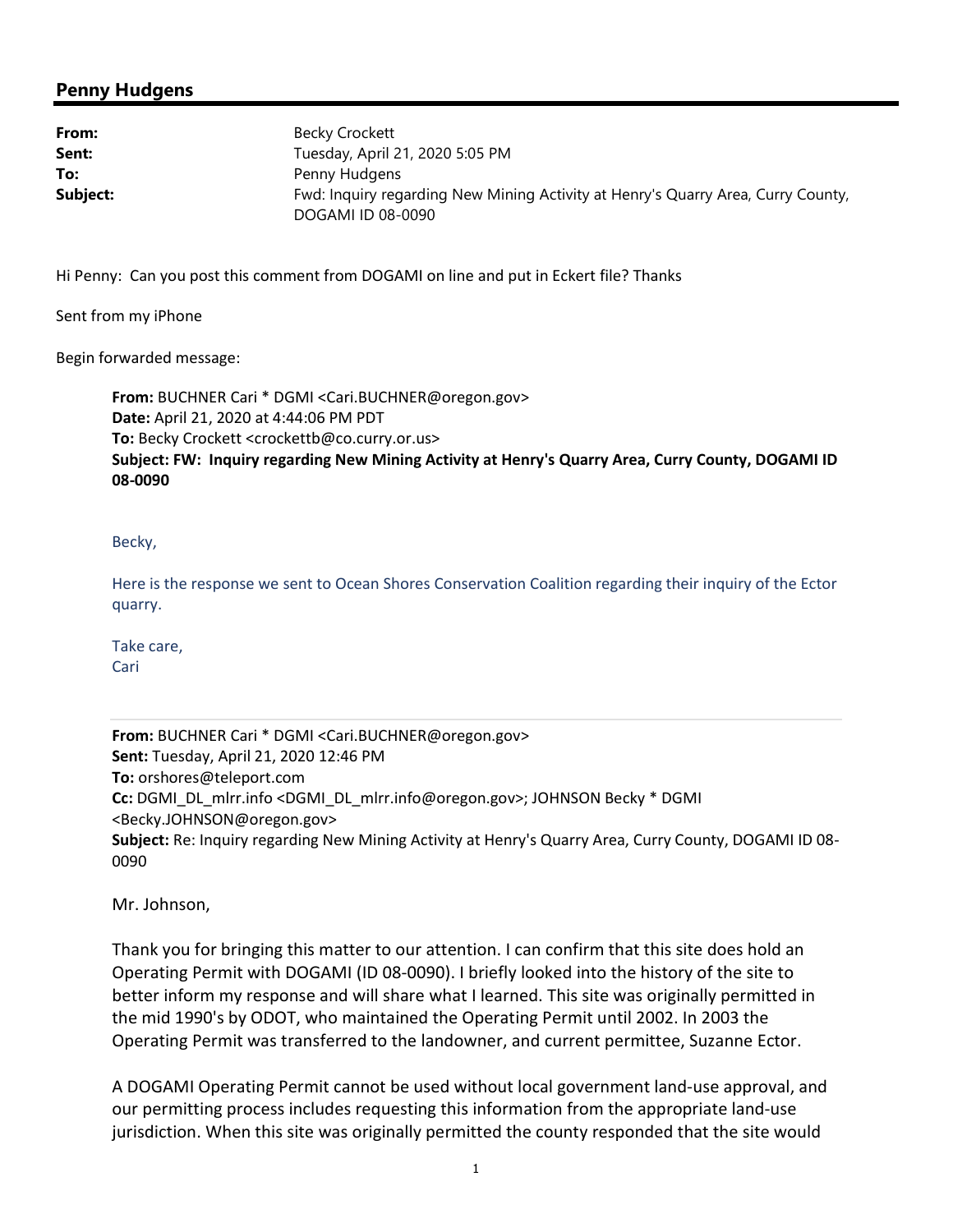## Penny Hudgens

| From:    | Becky Crockett                                                                   |
|----------|----------------------------------------------------------------------------------|
| Sent:    | Tuesday, April 21, 2020 5:05 PM                                                  |
| To:      | Penny Hudgens                                                                    |
| Subject: | Fwd: Inquiry regarding New Mining Activity at Henry's Quarry Area, Curry County, |
|          | DOGAMI ID 08-0090                                                                |

Hi Penny: Can you post this comment from DOGAMI on line and put in Eckert file? Thanks

Sent from my iPhone

Begin forwarded message:

From: BUCHNER Cari \* DGMI <Cari.BUCHNER@oregon.gov> Date: April 21, 2020 at 4:44:06 PM PDT To: Becky Crockett <crockettb@co.curry.or.us> Subject: FW: Inquiry regarding New Mining Activity at Henry's Quarry Area, Curry County, DOGAMI ID 08-0090

Becky,

Here is the response we sent to Ocean Shores Conservation Coalition regarding their inquiry of the Ector quarry.

Take care, **Cari** 

From: BUCHNER Cari \* DGMI <Cari.BUCHNER@oregon.gov> Sent: Tuesday, April 21, 2020 12:46 PM To: orshores@teleport.com Cc: DGMI\_DL\_mlrr.info <DGMI\_DL\_mlrr.info@oregon.gov>; JOHNSON Becky \* DGMI <Becky.JOHNSON@oregon.gov> Subject: Re: Inquiry regarding New Mining Activity at Henry's Quarry Area, Curry County, DOGAMI ID 08- 0090

Mr. Johnson,

Thank you for bringing this matter to our attention. I can confirm that this site does hold an Operating Permit with DOGAMI (ID 08-0090). I briefly looked into the history of the site to better inform my response and will share what I learned. This site was originally permitted in the mid 1990's by ODOT, who maintained the Operating Permit until 2002. In 2003 the Operating Permit was transferred to the landowner, and current permittee, Suzanne Ector.

A DOGAMI Operating Permit cannot be used without local government land-use approval, and our permitting process includes requesting this information from the appropriate land-use jurisdiction. When this site was originally permitted the county responded that the site would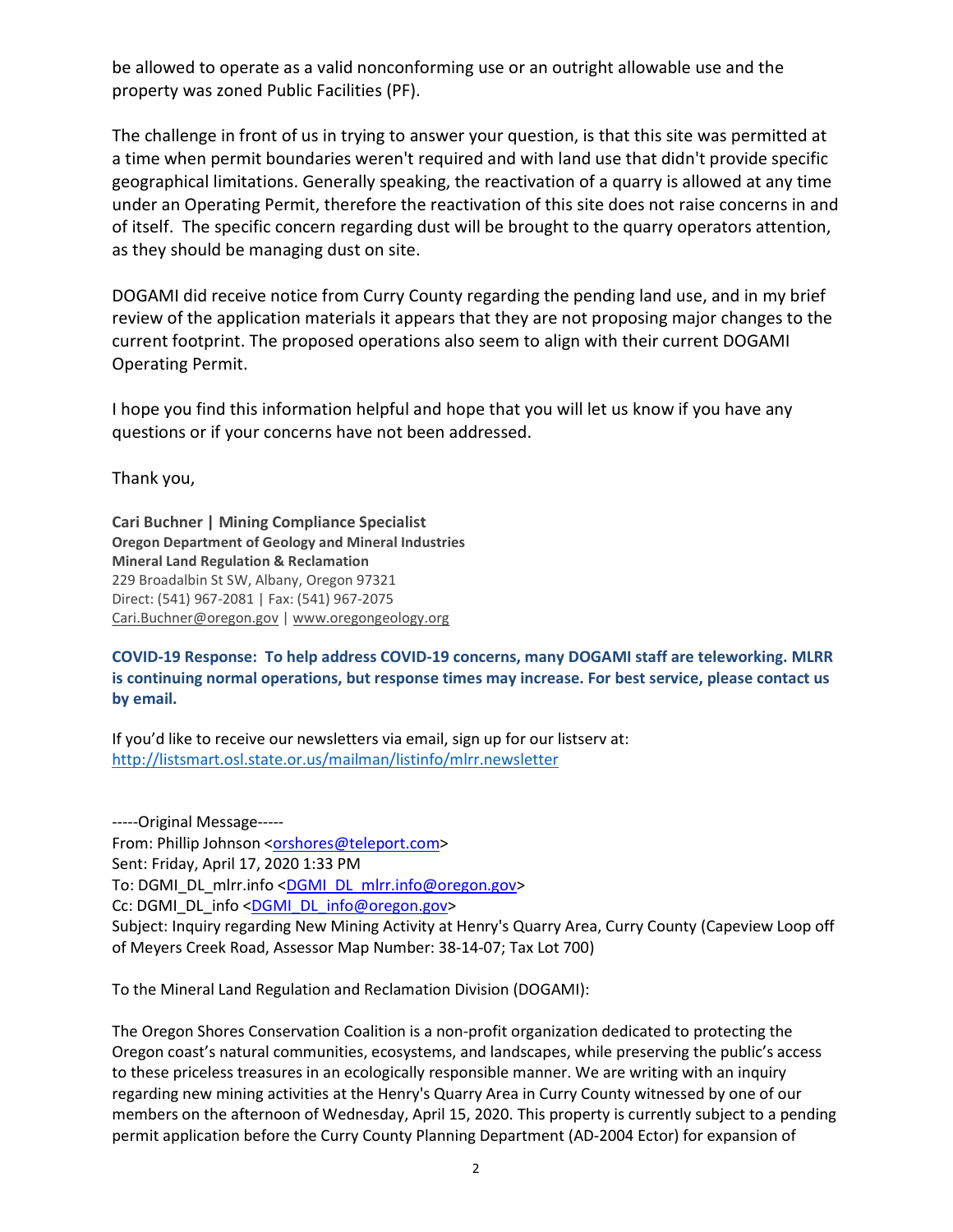be allowed to operate as a valid nonconforming use or an outright allowable use and the property was zoned Public Facilities (PF).

The challenge in front of us in trying to answer your question, is that this site was permitted at a time when permit boundaries weren't required and with land use that didn't provide specific geographical limitations. Generally speaking, the reactivation of a quarry is allowed at any time under an Operating Permit, therefore the reactivation of this site does not raise concerns in and of itself. The specific concern regarding dust will be brought to the quarry operators attention, as they should be managing dust on site.

DOGAMI did receive notice from Curry County regarding the pending land use, and in my brief review of the application materials it appears that they are not proposing major changes to the current footprint. The proposed operations also seem to align with their current DOGAMI Operating Permit.

I hope you find this information helpful and hope that you will let us know if you have any questions or if your concerns have not been addressed.

Thank you,

Cari Buchner | Mining Compliance Specialist Oregon Department of Geology and Mineral Industries Mineral Land Regulation & Reclamation 229 Broadalbin St SW, Albany, Oregon 97321 Direct: (541) 967-2081 | Fax: (541) 967-2075 Cari.Buchner@oregon.gov | www.oregongeology.org

COVID-19 Response: To help address COVID-19 concerns, many DOGAMI staff are teleworking. MLRR is continuing normal operations, but response times may increase. For best service, please contact us by email.

If you'd like to receive our newsletters via email, sign up for our listserv at: http://listsmart.osl.state.or.us/mailman/listinfo/mlrr.newsletter

-----Original Message----- From: Phillip Johnson <orshores@teleport.com> Sent: Friday, April 17, 2020 1:33 PM To: DGMI\_DL\_mlrr.info <DGMI\_DL\_mlrr.info@oregon.gov> Cc: DGMI\_DL\_info <DGMI\_DL\_info@oregon.gov> Subject: Inquiry regarding New Mining Activity at Henry's Quarry Area, Curry County (Capeview Loop off of Meyers Creek Road, Assessor Map Number: 38-14-07; Tax Lot 700)

To the Mineral Land Regulation and Reclamation Division (DOGAMI):

The Oregon Shores Conservation Coalition is a non-profit organization dedicated to protecting the Oregon coast's natural communities, ecosystems, and landscapes, while preserving the public's access to these priceless treasures in an ecologically responsible manner. We are writing with an inquiry regarding new mining activities at the Henry's Quarry Area in Curry County witnessed by one of our members on the afternoon of Wednesday, April 15, 2020. This property is currently subject to a pending permit application before the Curry County Planning Department (AD-2004 Ector) for expansion of